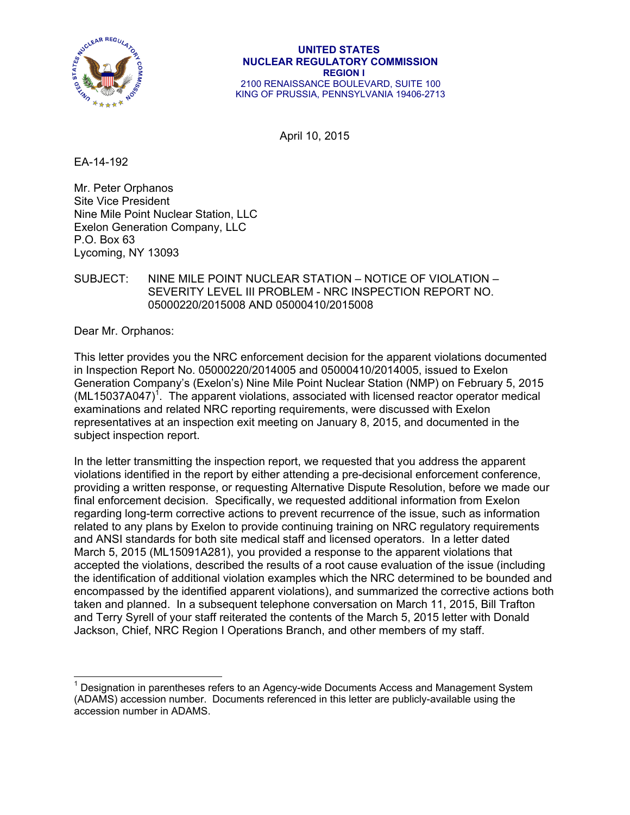

#### **UNITED STATES NUCLEAR REGULATORY COMMISSION REGION I**  2100 RENAISSANCE BOULEVARD, SUITE 100 KING OF PRUSSIA, PENNSYLVANIA 19406-2713

April 10, 2015

EA-14-192

Mr. Peter Orphanos Site Vice President Nine Mile Point Nuclear Station, LLC Exelon Generation Company, LLC P.O. Box 63 Lycoming, NY 13093

## SUBJECT: NINE MILE POINT NUCLEAR STATION – NOTICE OF VIOLATION – SEVERITY LEVEL III PROBLEM - NRC INSPECTION REPORT NO. 05000220/2015008 AND 05000410/2015008

Dear Mr. Orphanos:

-

This letter provides you the NRC enforcement decision for the apparent violations documented in Inspection Report No. 05000220/2014005 and 05000410/2014005, issued to Exelon Generation Company's (Exelon's) Nine Mile Point Nuclear Station (NMP) on February 5, 2015  $(ML15037A047)^1$ . The apparent violations, associated with licensed reactor operator medical examinations and related NRC reporting requirements, were discussed with Exelon representatives at an inspection exit meeting on January 8, 2015, and documented in the subject inspection report.

In the letter transmitting the inspection report, we requested that you address the apparent violations identified in the report by either attending a pre-decisional enforcement conference, providing a written response, or requesting Alternative Dispute Resolution, before we made our final enforcement decision. Specifically, we requested additional information from Exelon regarding long-term corrective actions to prevent recurrence of the issue, such as information related to any plans by Exelon to provide continuing training on NRC regulatory requirements and ANSI standards for both site medical staff and licensed operators. In a letter dated March 5, 2015 (ML15091A281), you provided a response to the apparent violations that accepted the violations, described the results of a root cause evaluation of the issue (including the identification of additional violation examples which the NRC determined to be bounded and encompassed by the identified apparent violations), and summarized the corrective actions both taken and planned. In a subsequent telephone conversation on March 11, 2015, Bill Trafton and Terry Syrell of your staff reiterated the contents of the March 5, 2015 letter with Donald Jackson, Chief, NRC Region I Operations Branch, and other members of my staff.

<sup>&</sup>lt;sup>1</sup> Designation in parentheses refers to an Agency-wide Documents Access and Management System (ADAMS) accession number. Documents referenced in this letter are publicly-available using the accession number in ADAMS.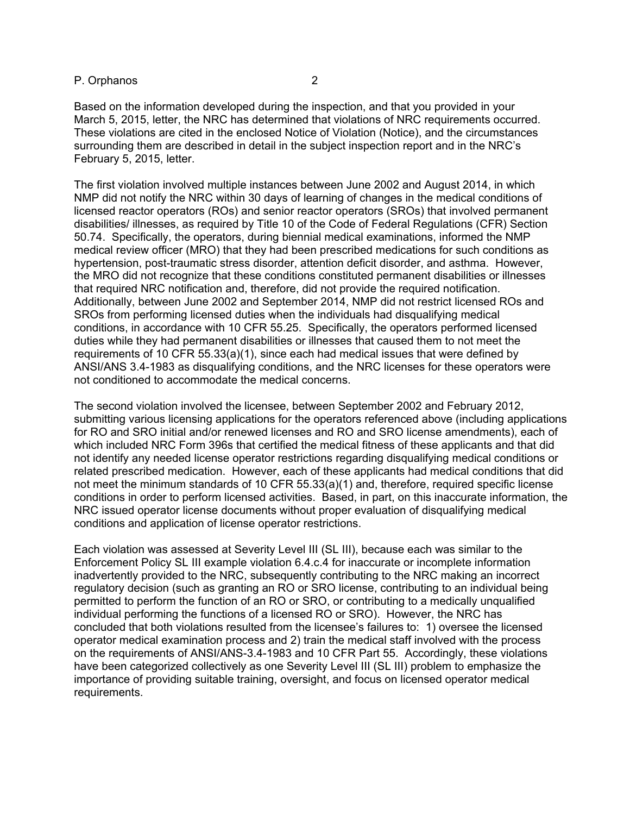## P. Orphanos 2

Based on the information developed during the inspection, and that you provided in your March 5, 2015, letter, the NRC has determined that violations of NRC requirements occurred. These violations are cited in the enclosed Notice of Violation (Notice), and the circumstances surrounding them are described in detail in the subject inspection report and in the NRC's February 5, 2015, letter.

The first violation involved multiple instances between June 2002 and August 2014, in which NMP did not notify the NRC within 30 days of learning of changes in the medical conditions of licensed reactor operators (ROs) and senior reactor operators (SROs) that involved permanent disabilities/ illnesses, as required by Title 10 of the Code of Federal Regulations (CFR) Section 50.74. Specifically, the operators, during biennial medical examinations, informed the NMP medical review officer (MRO) that they had been prescribed medications for such conditions as hypertension, post-traumatic stress disorder, attention deficit disorder, and asthma. However, the MRO did not recognize that these conditions constituted permanent disabilities or illnesses that required NRC notification and, therefore, did not provide the required notification. Additionally, between June 2002 and September 2014, NMP did not restrict licensed ROs and SROs from performing licensed duties when the individuals had disqualifying medical conditions, in accordance with 10 CFR 55.25. Specifically, the operators performed licensed duties while they had permanent disabilities or illnesses that caused them to not meet the requirements of 10 CFR 55.33(a)(1), since each had medical issues that were defined by ANSI/ANS 3.4-1983 as disqualifying conditions, and the NRC licenses for these operators were not conditioned to accommodate the medical concerns.

The second violation involved the licensee, between September 2002 and February 2012, submitting various licensing applications for the operators referenced above (including applications for RO and SRO initial and/or renewed licenses and RO and SRO license amendments), each of which included NRC Form 396s that certified the medical fitness of these applicants and that did not identify any needed license operator restrictions regarding disqualifying medical conditions or related prescribed medication. However, each of these applicants had medical conditions that did not meet the minimum standards of 10 CFR 55.33(a)(1) and, therefore, required specific license conditions in order to perform licensed activities. Based, in part, on this inaccurate information, the NRC issued operator license documents without proper evaluation of disqualifying medical conditions and application of license operator restrictions.

Each violation was assessed at Severity Level III (SL III), because each was similar to the Enforcement Policy SL III example violation 6.4.c.4 for inaccurate or incomplete information inadvertently provided to the NRC, subsequently contributing to the NRC making an incorrect regulatory decision (such as granting an RO or SRO license, contributing to an individual being permitted to perform the function of an RO or SRO, or contributing to a medically unqualified individual performing the functions of a licensed RO or SRO). However, the NRC has concluded that both violations resulted from the licensee's failures to: 1) oversee the licensed operator medical examination process and 2) train the medical staff involved with the process on the requirements of ANSI/ANS-3.4-1983 and 10 CFR Part 55. Accordingly, these violations have been categorized collectively as one Severity Level III (SL III) problem to emphasize the importance of providing suitable training, oversight, and focus on licensed operator medical requirements.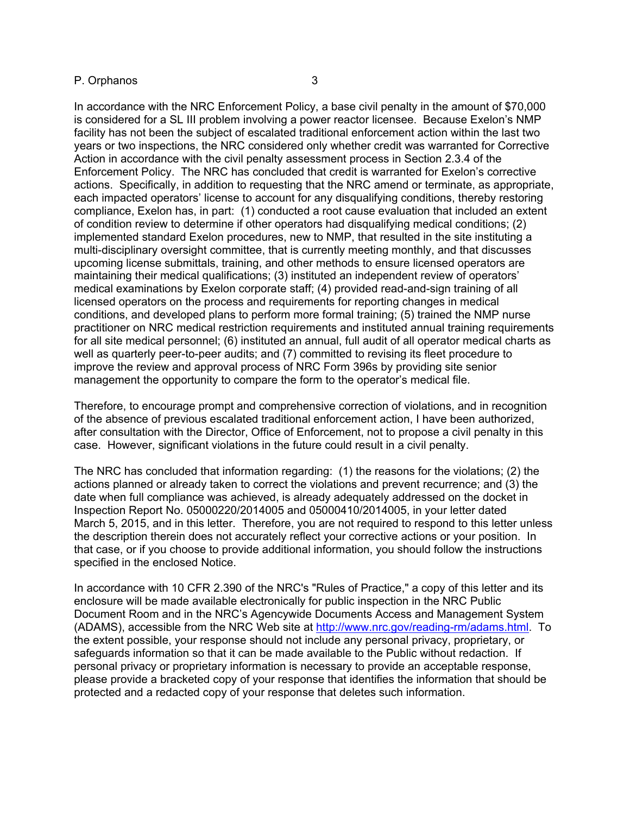### P. Orphanos 3

In accordance with the NRC Enforcement Policy, a base civil penalty in the amount of \$70,000 is considered for a SL III problem involving a power reactor licensee. Because Exelon's NMP facility has not been the subject of escalated traditional enforcement action within the last two years or two inspections, the NRC considered only whether credit was warranted for Corrective Action in accordance with the civil penalty assessment process in Section 2.3.4 of the Enforcement Policy. The NRC has concluded that credit is warranted for Exelon's corrective actions. Specifically, in addition to requesting that the NRC amend or terminate, as appropriate, each impacted operators' license to account for any disqualifying conditions, thereby restoring compliance, Exelon has, in part: (1) conducted a root cause evaluation that included an extent of condition review to determine if other operators had disqualifying medical conditions; (2) implemented standard Exelon procedures, new to NMP, that resulted in the site instituting a multi-disciplinary oversight committee, that is currently meeting monthly, and that discusses upcoming license submittals, training, and other methods to ensure licensed operators are maintaining their medical qualifications; (3) instituted an independent review of operators' medical examinations by Exelon corporate staff; (4) provided read-and-sign training of all licensed operators on the process and requirements for reporting changes in medical conditions, and developed plans to perform more formal training; (5) trained the NMP nurse practitioner on NRC medical restriction requirements and instituted annual training requirements for all site medical personnel; (6) instituted an annual, full audit of all operator medical charts as well as quarterly peer-to-peer audits; and (7) committed to revising its fleet procedure to improve the review and approval process of NRC Form 396s by providing site senior management the opportunity to compare the form to the operator's medical file.

Therefore, to encourage prompt and comprehensive correction of violations, and in recognition of the absence of previous escalated traditional enforcement action, I have been authorized, after consultation with the Director, Office of Enforcement, not to propose a civil penalty in this case. However, significant violations in the future could result in a civil penalty.

The NRC has concluded that information regarding: (1) the reasons for the violations; (2) the actions planned or already taken to correct the violations and prevent recurrence; and (3) the date when full compliance was achieved, is already adequately addressed on the docket in Inspection Report No. 05000220/2014005 and 05000410/2014005, in your letter dated March 5, 2015, and in this letter. Therefore, you are not required to respond to this letter unless the description therein does not accurately reflect your corrective actions or your position. In that case, or if you choose to provide additional information, you should follow the instructions specified in the enclosed Notice.

In accordance with 10 CFR 2.390 of the NRC's "Rules of Practice," a copy of this letter and its enclosure will be made available electronically for public inspection in the NRC Public Document Room and in the NRC's Agencywide Documents Access and Management System (ADAMS), accessible from the NRC Web site at http://www.nrc.gov/reading-rm/adams.html. To the extent possible, your response should not include any personal privacy, proprietary, or safeguards information so that it can be made available to the Public without redaction. If personal privacy or proprietary information is necessary to provide an acceptable response, please provide a bracketed copy of your response that identifies the information that should be protected and a redacted copy of your response that deletes such information.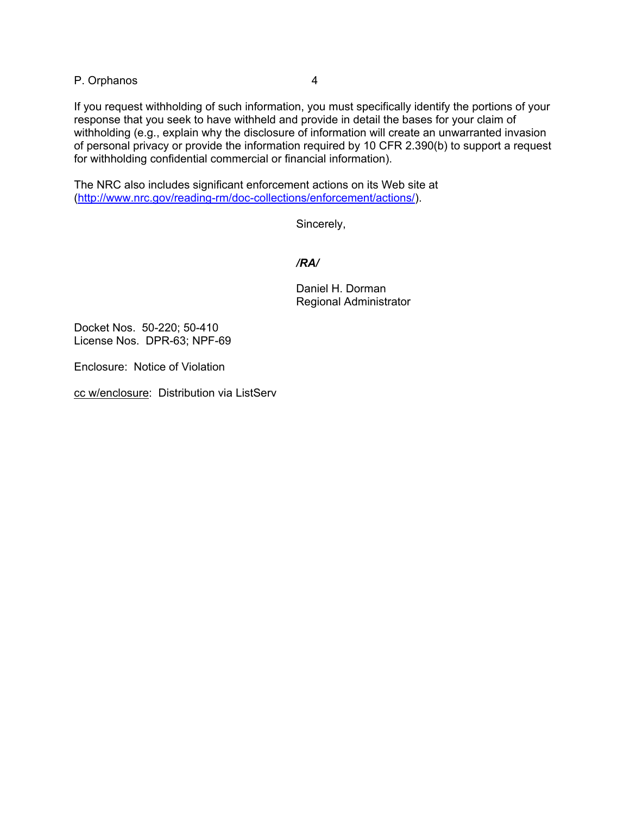P. Orphanos 4

If you request withholding of such information, you must specifically identify the portions of your response that you seek to have withheld and provide in detail the bases for your claim of withholding (e.g., explain why the disclosure of information will create an unwarranted invasion of personal privacy or provide the information required by 10 CFR 2.390(b) to support a request for withholding confidential commercial or financial information).

The NRC also includes significant enforcement actions on its Web site at (http://www.nrc.gov/reading-rm/doc-collections/enforcement/actions/).

Sincerely,

 */RA/* 

Daniel H. Dorman Regional Administrator

Docket Nos. 50-220; 50-410 License Nos. DPR-63; NPF-69

Enclosure: Notice of Violation

cc w/enclosure: Distribution via ListServ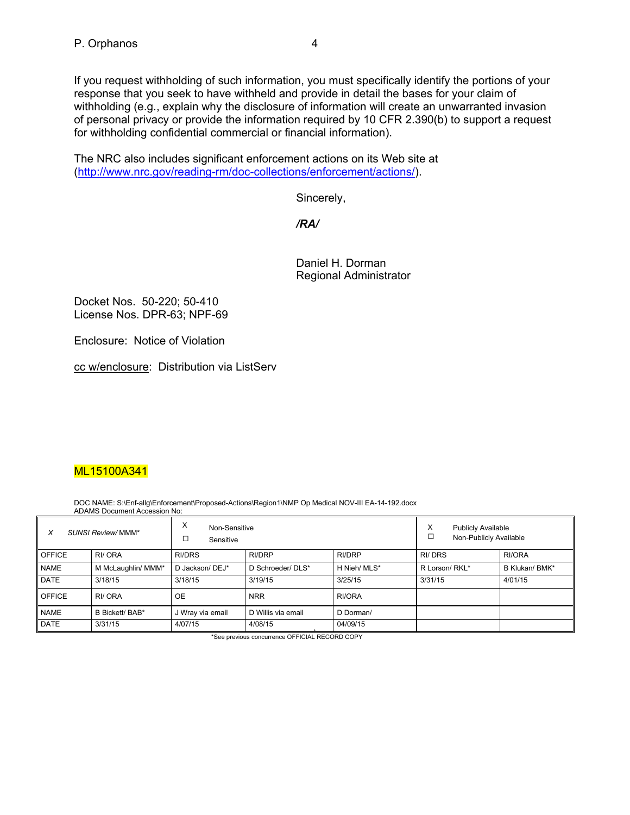If you request withholding of such information, you must specifically identify the portions of your response that you seek to have withheld and provide in detail the bases for your claim of withholding (e.g., explain why the disclosure of information will create an unwarranted invasion of personal privacy or provide the information required by 10 CFR 2.390(b) to support a request for withholding confidential commercial or financial information).

The NRC also includes significant enforcement actions on its Web site at (http://www.nrc.gov/reading-rm/doc-collections/enforcement/actions/).

Sincerely,

*/RA/* 

Daniel H. Dorman Regional Administrator

Docket Nos. 50-220; 50-410 License Nos. DPR-63; NPF-69

Enclosure: Notice of Violation

cc w/enclosure: Distribution via ListServ

# ML15100A341

DOC NAME: S:\Enf-allg\Enforcement\Proposed-Actions\Region1\NMP Op Medical NOV-III EA-14-192.docx ADAMS Document Accession No:

| SUNSI Review/MMM*<br>X |                        | Х<br>Non-Sensitive<br>□<br>Sensitive |                    |               | х<br><b>Publicly Available</b><br>Non-Publicly Available |                |
|------------------------|------------------------|--------------------------------------|--------------------|---------------|----------------------------------------------------------|----------------|
| <b>OFFICE</b>          | RI/ ORA                | RI/DRS                               | RI/DRP             | <b>RI/DRP</b> | RI/DRS                                                   | RI/ORA         |
| <b>NAME</b>            | M McLaughlin/ MMM*     | D Jackson/ DEJ*                      | D Schroeder/ DLS*  | H Nieh/ MLS*  | R Lorson/ RKL*                                           | B Klukan/ BMK* |
| <b>DATE</b>            | 3/18/15                | 3/18/15                              | 3/19/15            | 3/25/15       | 3/31/15                                                  | 4/01/15        |
| <b>OFFICE</b>          | RI/ORA                 | <b>OE</b>                            | <b>NRR</b>         | RI/ORA        |                                                          |                |
| <b>NAME</b>            | <b>B Bickett/ BAB*</b> | J Wray via email                     | D Willis via email | D Dorman/     |                                                          |                |
| <b>DATE</b>            | 3/31/15                | 4/07/15                              | 4/08/15            | 04/09/15      |                                                          |                |

\*See previous concurrence OFFICIAL RECORD COPY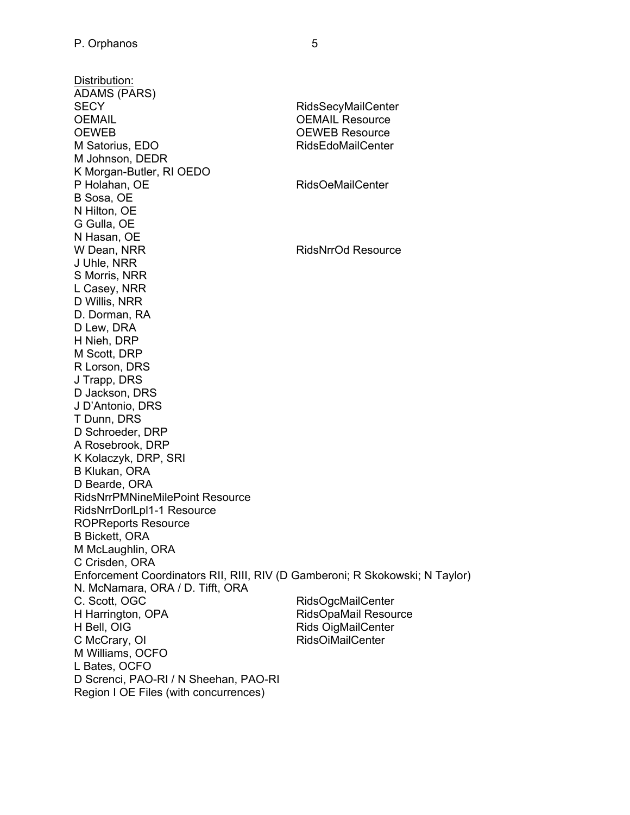Distribution: ADAMS (PARS) SECY RidsSecyMailCenter OEMAIL Resource OEWEB OEWEB Resource M Satorius, EDO RidsEdoMailCenter M Johnson, DEDR K Morgan-Butler, RI OEDO P Holahan, OE RidsOeMailCenter B Sosa, OE N Hilton, OE G Gulla, OE N Hasan, OE W Dean, NRR RidsNrrOd Resource J Uhle, NRR S Morris, NRR L Casey, NRR D Willis, NRR D. Dorman, RA D Lew, DRA H Nieh, DRP M Scott, DRP R Lorson, DRS J Trapp, DRS D Jackson, DRS J D'Antonio, DRS T Dunn, DRS D Schroeder, DRP A Rosebrook, DRP K Kolaczyk, DRP, SRI B Klukan, ORA D Bearde, ORA RidsNrrPMNineMilePoint Resource RidsNrrDorlLpl1-1 Resource ROPReports Resource B Bickett, ORA M McLaughlin, ORA C Crisden, ORA Enforcement Coordinators RII, RIII, RIV (D Gamberoni; R Skokowski; N Taylor) N. McNamara, ORA / D. Tifft, ORA C. Scott, OGC RidsOgcMailCenter H Harrington, OPA RidsOpaMail Resource H Bell, OIG **Rids OigMailCenter** C McCrary, OI RidsOiMailCenter M Williams, OCFO L Bates, OCFO D Screnci, PAO-RI / N Sheehan, PAO-RI Region I OE Files (with concurrences)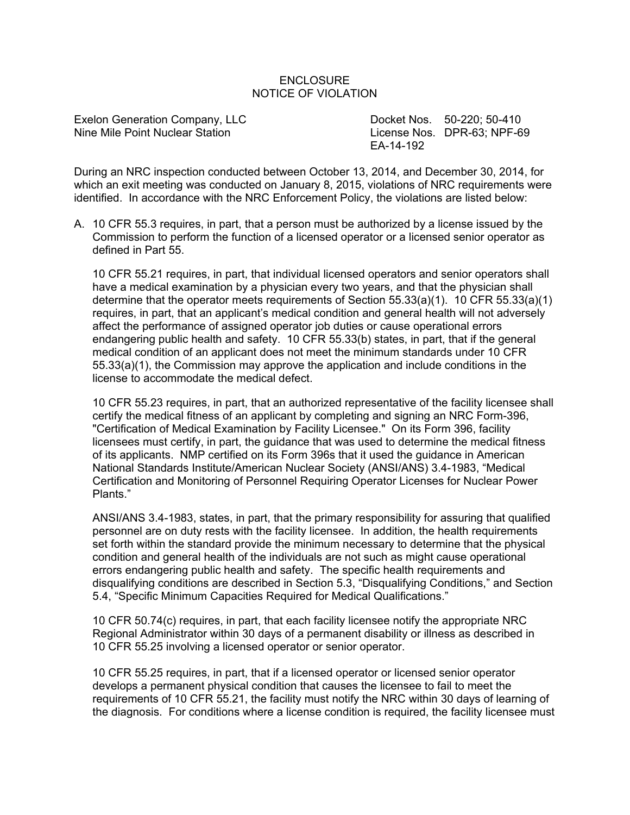### **ENCLOSURE** NOTICE OF VIOLATION

Exelon Generation Company, LLC Docket Nos. 50-220; 50-410 Nine Mile Point Nuclear Station License Nos. DPR-63: NPF-69

EA-14-192

During an NRC inspection conducted between October 13, 2014, and December 30, 2014, for which an exit meeting was conducted on January 8, 2015, violations of NRC requirements were identified. In accordance with the NRC Enforcement Policy, the violations are listed below:

A. 10 CFR 55.3 requires, in part, that a person must be authorized by a license issued by the Commission to perform the function of a licensed operator or a licensed senior operator as defined in Part 55.

10 CFR 55.21 requires, in part, that individual licensed operators and senior operators shall have a medical examination by a physician every two years, and that the physician shall determine that the operator meets requirements of Section 55.33(a)(1). 10 CFR 55.33(a)(1) requires, in part, that an applicant's medical condition and general health will not adversely affect the performance of assigned operator job duties or cause operational errors endangering public health and safety. 10 CFR 55.33(b) states, in part, that if the general medical condition of an applicant does not meet the minimum standards under 10 CFR 55.33(a)(1), the Commission may approve the application and include conditions in the license to accommodate the medical defect.

10 CFR 55.23 requires, in part, that an authorized representative of the facility licensee shall certify the medical fitness of an applicant by completing and signing an NRC Form-396, "Certification of Medical Examination by Facility Licensee." On its Form 396, facility licensees must certify, in part, the guidance that was used to determine the medical fitness of its applicants. NMP certified on its Form 396s that it used the guidance in American National Standards Institute/American Nuclear Society (ANSI/ANS) 3.4-1983, "Medical Certification and Monitoring of Personnel Requiring Operator Licenses for Nuclear Power Plants."

ANSI/ANS 3.4-1983, states, in part, that the primary responsibility for assuring that qualified personnel are on duty rests with the facility licensee. In addition, the health requirements set forth within the standard provide the minimum necessary to determine that the physical condition and general health of the individuals are not such as might cause operational errors endangering public health and safety. The specific health requirements and disqualifying conditions are described in Section 5.3, "Disqualifying Conditions," and Section 5.4, "Specific Minimum Capacities Required for Medical Qualifications."

10 CFR 50.74(c) requires, in part, that each facility licensee notify the appropriate NRC Regional Administrator within 30 days of a permanent disability or illness as described in 10 CFR 55.25 involving a licensed operator or senior operator.

10 CFR 55.25 requires, in part, that if a licensed operator or licensed senior operator develops a permanent physical condition that causes the licensee to fail to meet the requirements of 10 CFR 55.21, the facility must notify the NRC within 30 days of learning of the diagnosis. For conditions where a license condition is required, the facility licensee must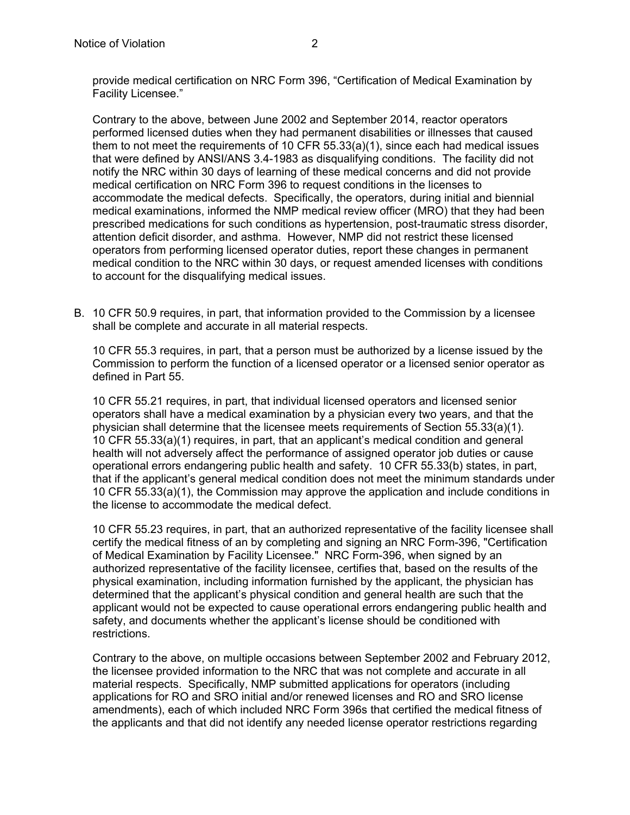provide medical certification on NRC Form 396, "Certification of Medical Examination by Facility Licensee."

Contrary to the above, between June 2002 and September 2014, reactor operators performed licensed duties when they had permanent disabilities or illnesses that caused them to not meet the requirements of 10 CFR 55.33(a)(1), since each had medical issues that were defined by ANSI/ANS 3.4-1983 as disqualifying conditions. The facility did not notify the NRC within 30 days of learning of these medical concerns and did not provide medical certification on NRC Form 396 to request conditions in the licenses to accommodate the medical defects. Specifically, the operators, during initial and biennial medical examinations, informed the NMP medical review officer (MRO) that they had been prescribed medications for such conditions as hypertension, post-traumatic stress disorder, attention deficit disorder, and asthma. However, NMP did not restrict these licensed operators from performing licensed operator duties, report these changes in permanent medical condition to the NRC within 30 days, or request amended licenses with conditions to account for the disqualifying medical issues.

B. 10 CFR 50.9 requires, in part, that information provided to the Commission by a licensee shall be complete and accurate in all material respects.

10 CFR 55.3 requires, in part, that a person must be authorized by a license issued by the Commission to perform the function of a licensed operator or a licensed senior operator as defined in Part 55.

10 CFR 55.21 requires, in part, that individual licensed operators and licensed senior operators shall have a medical examination by a physician every two years, and that the physician shall determine that the licensee meets requirements of Section 55.33(a)(1). 10 CFR 55.33(a)(1) requires, in part, that an applicant's medical condition and general health will not adversely affect the performance of assigned operator job duties or cause operational errors endangering public health and safety. 10 CFR 55.33(b) states, in part, that if the applicant's general medical condition does not meet the minimum standards under 10 CFR 55.33(a)(1), the Commission may approve the application and include conditions in the license to accommodate the medical defect.

10 CFR 55.23 requires, in part, that an authorized representative of the facility licensee shall certify the medical fitness of an by completing and signing an NRC Form-396, "Certification of Medical Examination by Facility Licensee." NRC Form-396, when signed by an authorized representative of the facility licensee, certifies that, based on the results of the physical examination, including information furnished by the applicant, the physician has determined that the applicant's physical condition and general health are such that the applicant would not be expected to cause operational errors endangering public health and safety, and documents whether the applicant's license should be conditioned with restrictions.

Contrary to the above, on multiple occasions between September 2002 and February 2012, the licensee provided information to the NRC that was not complete and accurate in all material respects. Specifically, NMP submitted applications for operators (including applications for RO and SRO initial and/or renewed licenses and RO and SRO license amendments), each of which included NRC Form 396s that certified the medical fitness of the applicants and that did not identify any needed license operator restrictions regarding